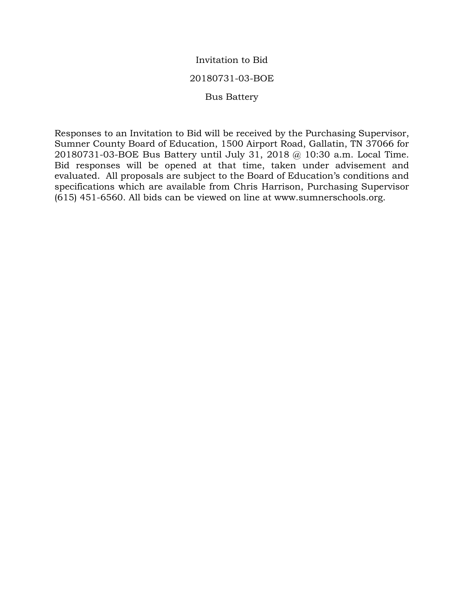### Invitation to Bid

#### 20180731-03-BOE

#### Bus Battery

Responses to an Invitation to Bid will be received by the Purchasing Supervisor, Sumner County Board of Education, 1500 Airport Road, Gallatin, TN 37066 for 20180731-03-BOE Bus Battery until July 31, 2018 @ 10:30 a.m. Local Time. Bid responses will be opened at that time, taken under advisement and evaluated. All proposals are subject to the Board of Education's conditions and specifications which are available from Chris Harrison, Purchasing Supervisor (615) 451-6560. All bids can be viewed on line at www.sumnerschools.org.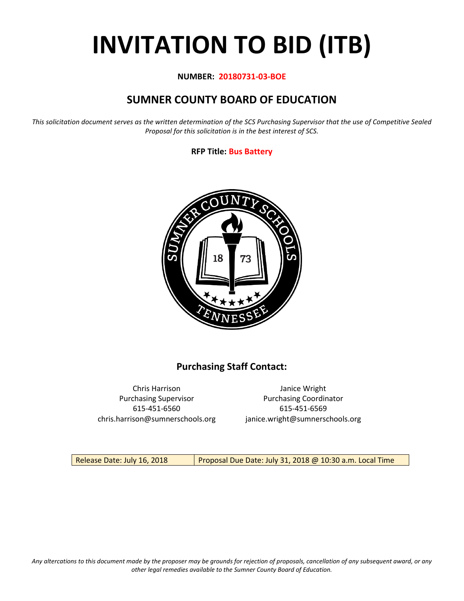# **INVITATION TO BID (ITB)**

#### **NUMBER: 20180731-03-BOE**

# **SUMNER COUNTY BOARD OF EDUCATION**

*This solicitation document serves as the written determination of the SCS Purchasing Supervisor that the use of Competitive Sealed Proposal for this solicitation is in the best interest of SCS.*

#### **RFP Title: Bus Battery**



## **Purchasing Staff Contact:**

Chris Harrison Janice Wright 615-451-6560 615-451-6569 chris.harrison@sumnerschools.org janice.wright@sumnerschools.org

Purchasing Supervisor **Purchasing Coordinator** 

Release Date: July 16, 2018 | Proposal Due Date: July 31, 2018 @ 10:30 a.m. Local Time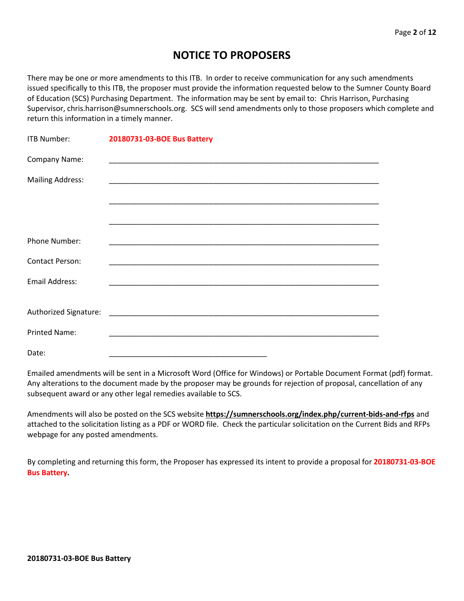## **NOTICE TO PROPOSERS**

There may be one or more amendments to this ITB. In order to receive communication for any such amendments issued specifically to this ITB, the proposer must provide the information requested below to the Sumner County Board of Education (SCS) Purchasing Department. The information may be sent by email to: Chris Harrison, Purchasing Supervisor, chris.harrison@sumnerschools.org. SCS will send amendments only to those proposers which complete and return this information in a timely manner.

| <b>ITB Number:</b>      | 20180731-03-BOE Bus Battery |
|-------------------------|-----------------------------|
| Company Name:           |                             |
| <b>Mailing Address:</b> |                             |
|                         |                             |
|                         |                             |
| <b>Phone Number:</b>    |                             |
| <b>Contact Person:</b>  |                             |
| <b>Email Address:</b>   |                             |
|                         |                             |
|                         |                             |
| <b>Printed Name:</b>    |                             |
| Date:                   |                             |

Emailed amendments will be sent in a Microsoft Word (Office for Windows) or Portable Document Format (pdf) format. Any alterations to the document made by the proposer may be grounds for rejection of proposal, cancellation of any subsequent award or any other legal remedies available to SCS.

Amendments will also be posted on the SCS website **https://sumnerschools.org/index.php/current-bids-and-rfps** and attached to the solicitation listing as a PDF or WORD file. Check the particular solicitation on the Current Bids and RFPs webpage for any posted amendments.

By completing and returning this form, the Proposer has expressed its intent to provide a proposal for **20180731-03-BOE Bus Battery.**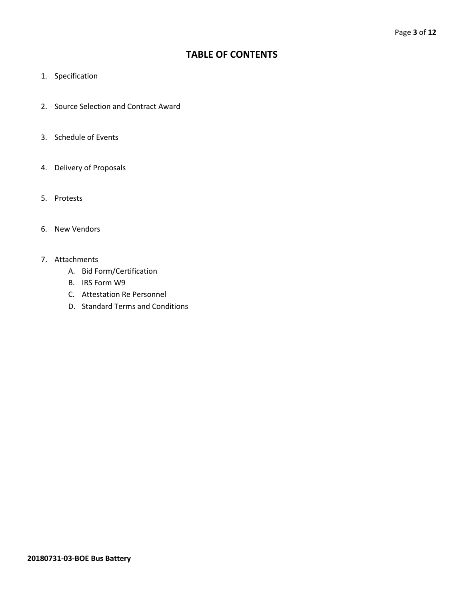## **TABLE OF CONTENTS**

- 1. Specification
- 2. Source Selection and Contract Award
- 3. Schedule of Events
- 4. Delivery of Proposals
- 5. Protests
- 6. New Vendors
- 7. Attachments
	- A. Bid Form/Certification
	- B. IRS Form W9
	- C. Attestation Re Personnel
	- D. Standard Terms and Conditions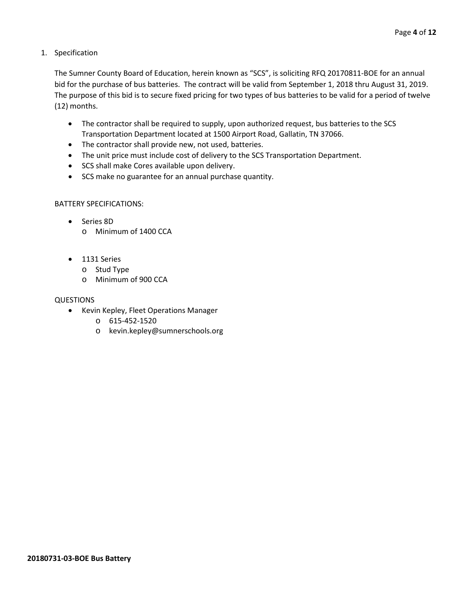1. Specification

The Sumner County Board of Education, herein known as "SCS", is soliciting RFQ 20170811-BOE for an annual bid for the purchase of bus batteries. The contract will be valid from September 1, 2018 thru August 31, 2019. The purpose of this bid is to secure fixed pricing for two types of bus batteries to be valid for a period of twelve (12) months.

- The contractor shall be required to supply, upon authorized request, bus batteries to the SCS Transportation Department located at 1500 Airport Road, Gallatin, TN 37066.
- The contractor shall provide new, not used, batteries.
- The unit price must include cost of delivery to the SCS Transportation Department.
- SCS shall make Cores available upon delivery.
- SCS make no guarantee for an annual purchase quantity.

#### BATTERY SPECIFICATIONS:

- Series 8D o Minimum of 1400 CCA
- 1131 Series
	- o Stud Type
	- o Minimum of 900 CCA

#### QUESTIONS

- Kevin Kepley, Fleet Operations Manager
	- o 615-452-1520
	- o kevin.kepley@sumnerschools.org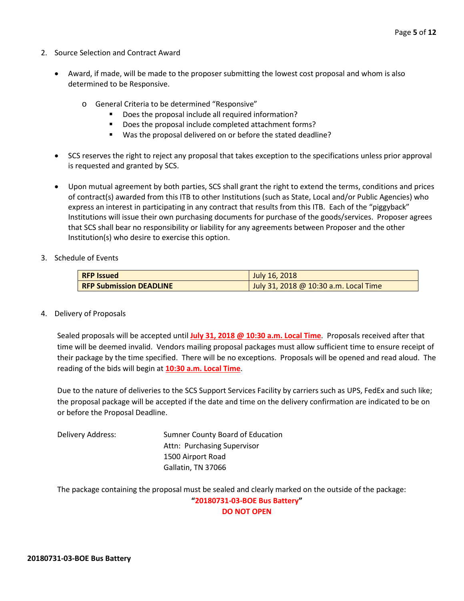- 2. Source Selection and Contract Award
	- Award, if made, will be made to the proposer submitting the lowest cost proposal and whom is also determined to be Responsive.
		- o General Criteria to be determined "Responsive"
			- Does the proposal include all required information?
			- Does the proposal include completed attachment forms?
			- Was the proposal delivered on or before the stated deadline?
	- SCS reserves the right to reject any proposal that takes exception to the specifications unless prior approval is requested and granted by SCS.
	- Upon mutual agreement by both parties, SCS shall grant the right to extend the terms, conditions and prices of contract(s) awarded from this ITB to other Institutions (such as State, Local and/or Public Agencies) who express an interest in participating in any contract that results from this ITB. Each of the "piggyback" Institutions will issue their own purchasing documents for purchase of the goods/services. Proposer agrees that SCS shall bear no responsibility or liability for any agreements between Proposer and the other Institution(s) who desire to exercise this option.
- 3. Schedule of Events

| <b>RFP Issued</b>              | July 16, 2018                         |  |  |  |  |  |
|--------------------------------|---------------------------------------|--|--|--|--|--|
| <b>RFP Submission DEADLINE</b> | July 31, 2018 @ 10:30 a.m. Local Time |  |  |  |  |  |

4. Delivery of Proposals

Sealed proposals will be accepted until **July 31, 2018 @ 10:30 a.m. Local Time**. Proposals received after that time will be deemed invalid. Vendors mailing proposal packages must allow sufficient time to ensure receipt of their package by the time specified. There will be no exceptions. Proposals will be opened and read aloud. The reading of the bids will begin at **10:30 a.m. Local Time**.

Due to the nature of deliveries to the SCS Support Services Facility by carriers such as UPS, FedEx and such like; the proposal package will be accepted if the date and time on the delivery confirmation are indicated to be on or before the Proposal Deadline.

Delivery Address: Sumner County Board of Education Attn: Purchasing Supervisor 1500 Airport Road Gallatin, TN 37066

The package containing the proposal must be sealed and clearly marked on the outside of the package: **"20180731-03-BOE Bus Battery" DO NOT OPEN**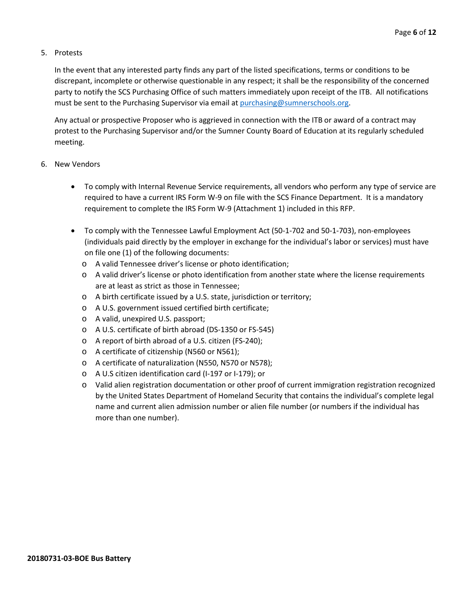#### 5. Protests

In the event that any interested party finds any part of the listed specifications, terms or conditions to be discrepant, incomplete or otherwise questionable in any respect; it shall be the responsibility of the concerned party to notify the SCS Purchasing Office of such matters immediately upon receipt of the ITB. All notifications must be sent to the Purchasing Supervisor via email at [purchasing@sumnerschools.org.](mailto:purchasing@sumnerschools.org)

Any actual or prospective Proposer who is aggrieved in connection with the ITB or award of a contract may protest to the Purchasing Supervisor and/or the Sumner County Board of Education at its regularly scheduled meeting.

#### 6. New Vendors

- To comply with Internal Revenue Service requirements, all vendors who perform any type of service are required to have a current IRS Form W-9 on file with the SCS Finance Department. It is a mandatory requirement to complete the IRS Form W-9 (Attachment 1) included in this RFP.
- To comply with the Tennessee Lawful Employment Act (50-1-702 and 50-1-703), non-employees (individuals paid directly by the employer in exchange for the individual's labor or services) must have on file one (1) of the following documents:
	- o A valid Tennessee driver's license or photo identification;
	- o A valid driver's license or photo identification from another state where the license requirements are at least as strict as those in Tennessee;
	- o A birth certificate issued by a U.S. state, jurisdiction or territory;
	- o A U.S. government issued certified birth certificate;
	- o A valid, unexpired U.S. passport;
	- o A U.S. certificate of birth abroad (DS-1350 or FS-545)
	- o A report of birth abroad of a U.S. citizen (FS-240);
	- o A certificate of citizenship (N560 or N561);
	- o A certificate of naturalization (N550, N570 or N578);
	- o A U.S citizen identification card (I-197 or I-179); or
	- o Valid alien registration documentation or other proof of current immigration registration recognized by the United States Department of Homeland Security that contains the individual's complete legal name and current alien admission number or alien file number (or numbers if the individual has more than one number).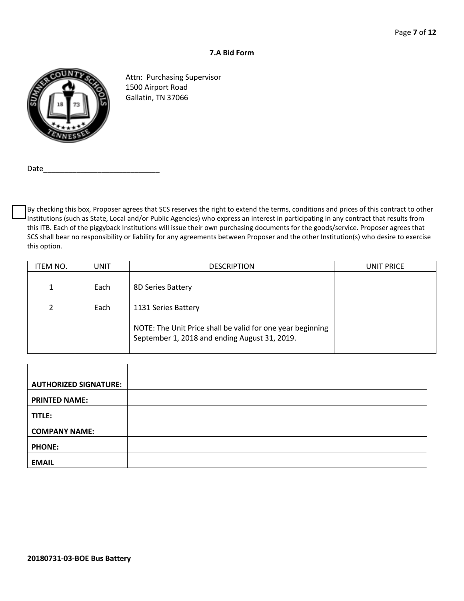#### **7.A Bid Form**



Attn: Purchasing Supervisor 1500 Airport Road Gallatin, TN 37066

Date

By checking this box, Proposer agrees that SCS reserves the right to extend the terms, conditions and prices of this contract to other Institutions (such as State, Local and/or Public Agencies) who express an interest in participating in any contract that results from this ITB. Each of the piggyback Institutions will issue their own purchasing documents for the goods/service. Proposer agrees that SCS shall bear no responsibility or liability for any agreements between Proposer and the other Institution(s) who desire to exercise this option.

| ITEM NO. | UNIT | <b>DESCRIPTION</b>                                                                                          | UNIT PRICE |
|----------|------|-------------------------------------------------------------------------------------------------------------|------------|
| 1        | Each | 8D Series Battery                                                                                           |            |
| 2        | Each | 1131 Series Battery                                                                                         |            |
|          |      | NOTE: The Unit Price shall be valid for one year beginning<br>September 1, 2018 and ending August 31, 2019. |            |

| <b>AUTHORIZED SIGNATURE:</b> |  |
|------------------------------|--|
|                              |  |
| <b>PRINTED NAME:</b>         |  |
|                              |  |
|                              |  |
| TITLE:                       |  |
|                              |  |
| <b>COMPANY NAME:</b>         |  |
|                              |  |
| <b>PHONE:</b>                |  |
|                              |  |
|                              |  |
| <b>EMAIL</b>                 |  |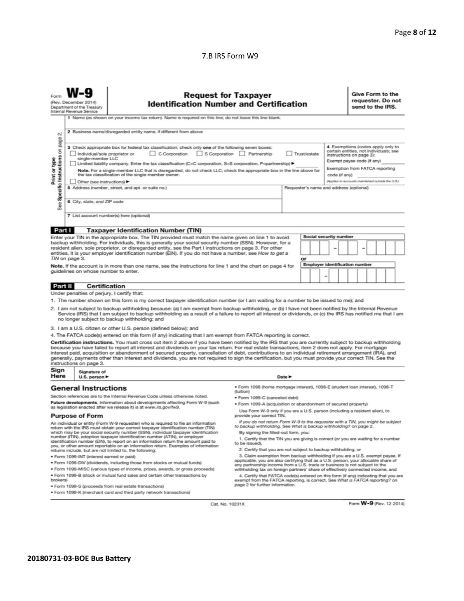#### 7.B IRS Form W9

|                                                                                                                                                                                                                                                                                                                                                                                                                                                                                                                                                                                                                                                                                                                                                                                                                                                                                                                                                                                                                                                                                                                     | <b>Request for Taxpayer</b><br>(Rev. December 2014)<br><b>Identification Number and Certification</b><br>Department of the Treasury<br>Internal Revenue Service<br>1 Name (as shown on your income tax return). Name is required on this line; do not leave this line blank. |                                                                                                                                                                                                                                                                                                                                                                                                                                                                                                                                                                                                                                                                                                                                                                                                                                                                                                                                                                                                                                                                                                                                                                                                                                                                                                                                     |                                                                                                                                                                                                        |                            |  |                                       |  | Give Form to the<br>requester. Do not<br>send to the IRS. |  |  |  |  |
|---------------------------------------------------------------------------------------------------------------------------------------------------------------------------------------------------------------------------------------------------------------------------------------------------------------------------------------------------------------------------------------------------------------------------------------------------------------------------------------------------------------------------------------------------------------------------------------------------------------------------------------------------------------------------------------------------------------------------------------------------------------------------------------------------------------------------------------------------------------------------------------------------------------------------------------------------------------------------------------------------------------------------------------------------------------------------------------------------------------------|------------------------------------------------------------------------------------------------------------------------------------------------------------------------------------------------------------------------------------------------------------------------------|-------------------------------------------------------------------------------------------------------------------------------------------------------------------------------------------------------------------------------------------------------------------------------------------------------------------------------------------------------------------------------------------------------------------------------------------------------------------------------------------------------------------------------------------------------------------------------------------------------------------------------------------------------------------------------------------------------------------------------------------------------------------------------------------------------------------------------------------------------------------------------------------------------------------------------------------------------------------------------------------------------------------------------------------------------------------------------------------------------------------------------------------------------------------------------------------------------------------------------------------------------------------------------------------------------------------------------------|--------------------------------------------------------------------------------------------------------------------------------------------------------------------------------------------------------|----------------------------|--|---------------------------------------|--|-----------------------------------------------------------|--|--|--|--|
| 2 Business name/disregarded entity name, if different from above<br>σû<br>page<br>4 Exemptions (codes apply only to<br>3 Check appropriate box for federal tax classification; check only one of the following seven boxes:<br>Specific Instructions on<br>certain entities, not individuals; see<br>C Corporation<br>S Corporation Partnership<br>Individual/sole proprietor or<br>Trust/estate<br>instructions on page 3):<br>single-member LLC<br>Print or type<br>Exempt payee code (if any)<br>Limited liability company. Enter the tax classification (C=C corporation, S=S corporation, P=partnership) ▶<br>Exemption from FATCA reporting<br>Note. For a single-member LLC that is disregarded, do not check LLC; check the appropriate box in the line above for<br>the tax classification of the single-member owner.<br>code (if anv)<br>(Applies to accounts maintained outside the U.S.)<br>Other (see instructions)<br>5 Address (number, street, and apt. or suite no.)<br>Requester's name and address (optional)<br>6 City, state, and ZIP code<br>See<br>7 List account number(s) here (optional) |                                                                                                                                                                                                                                                                              |                                                                                                                                                                                                                                                                                                                                                                                                                                                                                                                                                                                                                                                                                                                                                                                                                                                                                                                                                                                                                                                                                                                                                                                                                                                                                                                                     |                                                                                                                                                                                                        |                            |  |                                       |  |                                                           |  |  |  |  |
| Part I                                                                                                                                                                                                                                                                                                                                                                                                                                                                                                                                                                                                                                                                                                                                                                                                                                                                                                                                                                                                                                                                                                              |                                                                                                                                                                                                                                                                              | <b>Taxpayer Identification Number (TIN)</b>                                                                                                                                                                                                                                                                                                                                                                                                                                                                                                                                                                                                                                                                                                                                                                                                                                                                                                                                                                                                                                                                                                                                                                                                                                                                                         |                                                                                                                                                                                                        |                            |  |                                       |  |                                                           |  |  |  |  |
|                                                                                                                                                                                                                                                                                                                                                                                                                                                                                                                                                                                                                                                                                                                                                                                                                                                                                                                                                                                                                                                                                                                     |                                                                                                                                                                                                                                                                              | Enter your TIN in the appropriate box. The TIN provided must match the name given on line 1 to avoid                                                                                                                                                                                                                                                                                                                                                                                                                                                                                                                                                                                                                                                                                                                                                                                                                                                                                                                                                                                                                                                                                                                                                                                                                                |                                                                                                                                                                                                        |                            |  | Social security number                |  |                                                           |  |  |  |  |
| backup withholding. For individuals, this is generally your social security number (SSN). However, for a<br>resident alien, sole proprietor, or disregarded entity, see the Part I instructions on page 3. For other<br>entities, it is your employer identification number (EIN). If you do not have a number, see How to get a<br>TIN on page 3.                                                                                                                                                                                                                                                                                                                                                                                                                                                                                                                                                                                                                                                                                                                                                                  |                                                                                                                                                                                                                                                                              |                                                                                                                                                                                                                                                                                                                                                                                                                                                                                                                                                                                                                                                                                                                                                                                                                                                                                                                                                                                                                                                                                                                                                                                                                                                                                                                                     | or                                                                                                                                                                                                     |                            |  |                                       |  |                                                           |  |  |  |  |
|                                                                                                                                                                                                                                                                                                                                                                                                                                                                                                                                                                                                                                                                                                                                                                                                                                                                                                                                                                                                                                                                                                                     |                                                                                                                                                                                                                                                                              |                                                                                                                                                                                                                                                                                                                                                                                                                                                                                                                                                                                                                                                                                                                                                                                                                                                                                                                                                                                                                                                                                                                                                                                                                                                                                                                                     |                                                                                                                                                                                                        |                            |  | <b>Employer identification number</b> |  |                                                           |  |  |  |  |
| Note. If the account is in more than one name, see the instructions for line 1 and the chart on page 4 for<br>guidelines on whose number to enter.                                                                                                                                                                                                                                                                                                                                                                                                                                                                                                                                                                                                                                                                                                                                                                                                                                                                                                                                                                  |                                                                                                                                                                                                                                                                              |                                                                                                                                                                                                                                                                                                                                                                                                                                                                                                                                                                                                                                                                                                                                                                                                                                                                                                                                                                                                                                                                                                                                                                                                                                                                                                                                     |                                                                                                                                                                                                        |                            |  |                                       |  |                                                           |  |  |  |  |
| <b>Part II</b>                                                                                                                                                                                                                                                                                                                                                                                                                                                                                                                                                                                                                                                                                                                                                                                                                                                                                                                                                                                                                                                                                                      |                                                                                                                                                                                                                                                                              | <b>Certification</b>                                                                                                                                                                                                                                                                                                                                                                                                                                                                                                                                                                                                                                                                                                                                                                                                                                                                                                                                                                                                                                                                                                                                                                                                                                                                                                                |                                                                                                                                                                                                        |                            |  |                                       |  |                                                           |  |  |  |  |
|                                                                                                                                                                                                                                                                                                                                                                                                                                                                                                                                                                                                                                                                                                                                                                                                                                                                                                                                                                                                                                                                                                                     |                                                                                                                                                                                                                                                                              | 1. The number shown on this form is my correct taxpayer identification number (or I am waiting for a number to be issued to me); and<br>2. I am not subject to backup withholding because: (a) I am exempt from backup withholding, or (b) I have not been notified by the Internal Revenue<br>Service (IRS) that I am subject to backup withholding as a result of a failure to report all interest or dividends, or (c) the IRS has notified me that I am<br>no longer subject to backup withholding; and<br>3. I am a U.S. citizen or other U.S. person (defined below); and<br>4. The FATCA code(s) entered on this form (if any) indicating that I am exempt from FATCA reporting is correct.<br>Certification instructions. You must cross out item 2 above if you have been notified by the IRS that you are currently subject to backup withholding<br>because you have failed to report all interest and dividends on your tax return. For real estate transactions, item 2 does not apply. For mortgage<br>interest paid, acquisition or abandonment of secured property, cancellation of debt, contributions to an individual retirement arrangement (IRA), and<br>generally, payments other than interest and dividends, you are not required to sign the certification, but you must provide your correct TIN. See the |                                                                                                                                                                                                        |                            |  |                                       |  |                                                           |  |  |  |  |
| Sign                                                                                                                                                                                                                                                                                                                                                                                                                                                                                                                                                                                                                                                                                                                                                                                                                                                                                                                                                                                                                                                                                                                | instructions on page 3.                                                                                                                                                                                                                                                      |                                                                                                                                                                                                                                                                                                                                                                                                                                                                                                                                                                                                                                                                                                                                                                                                                                                                                                                                                                                                                                                                                                                                                                                                                                                                                                                                     |                                                                                                                                                                                                        |                            |  |                                       |  |                                                           |  |  |  |  |
| Here                                                                                                                                                                                                                                                                                                                                                                                                                                                                                                                                                                                                                                                                                                                                                                                                                                                                                                                                                                                                                                                                                                                | Signature of<br>U.S. person $\blacktriangleright$                                                                                                                                                                                                                            |                                                                                                                                                                                                                                                                                                                                                                                                                                                                                                                                                                                                                                                                                                                                                                                                                                                                                                                                                                                                                                                                                                                                                                                                                                                                                                                                     |                                                                                                                                                                                                        | Date $\blacktriangleright$ |  |                                       |  |                                                           |  |  |  |  |
| <b>General Instructions</b><br>Section references are to the Internal Revenue Code unless otherwise noted.<br>Future developments. Information about developments affecting Form W-9 (such<br>as legislation enacted after we release it) is at www.irs.gov/fw9.                                                                                                                                                                                                                                                                                                                                                                                                                                                                                                                                                                                                                                                                                                                                                                                                                                                    |                                                                                                                                                                                                                                                                              |                                                                                                                                                                                                                                                                                                                                                                                                                                                                                                                                                                                                                                                                                                                                                                                                                                                                                                                                                                                                                                                                                                                                                                                                                                                                                                                                     | · Form 1098 (home mortgage interest), 1098-E (student loan interest), 1098-T<br>(tuition)<br>• Form 1099-C (canceled debt)<br>. Form 1099-A (acquisition or abandonment of secured property)           |                            |  |                                       |  |                                                           |  |  |  |  |
|                                                                                                                                                                                                                                                                                                                                                                                                                                                                                                                                                                                                                                                                                                                                                                                                                                                                                                                                                                                                                                                                                                                     |                                                                                                                                                                                                                                                                              | Use Form W-9 only if you are a U.S. person (including a resident alien), to                                                                                                                                                                                                                                                                                                                                                                                                                                                                                                                                                                                                                                                                                                                                                                                                                                                                                                                                                                                                                                                                                                                                                                                                                                                         |                                                                                                                                                                                                        |                            |  |                                       |  |                                                           |  |  |  |  |
| <b>Purpose of Form</b><br>An individual or entity (Form W-9 requester) who is required to file an information<br>return with the IRS must obtain your correct taxpayer identification number (TIN)<br>which may be your social security number (SSN), individual taxpayer identification<br>number (ITIN), adoption taxpayer identification number (ATIN), or employer<br>identification number (EIN), to report on an information return the amount paid to<br>you, or other amount reportable on an information return. Examples of information                                                                                                                                                                                                                                                                                                                                                                                                                                                                                                                                                                   |                                                                                                                                                                                                                                                                              | provide your correct TIN.<br>If you do not return Form W-9 to the requester with a TIN, you might be subject<br>to backup withholding. See What is backup withholding? on page 2.<br>By signing the filled-out form, you:<br>1. Certify that the TIN you are giving is correct (or you are waiting for a number<br>to be issued).                                                                                                                                                                                                                                                                                                                                                                                                                                                                                                                                                                                                                                                                                                                                                                                                                                                                                                                                                                                                   |                                                                                                                                                                                                        |                            |  |                                       |  |                                                           |  |  |  |  |
| returns include, but are not limited to, the following:                                                                                                                                                                                                                                                                                                                                                                                                                                                                                                                                                                                                                                                                                                                                                                                                                                                                                                                                                                                                                                                             |                                                                                                                                                                                                                                                                              |                                                                                                                                                                                                                                                                                                                                                                                                                                                                                                                                                                                                                                                                                                                                                                                                                                                                                                                                                                                                                                                                                                                                                                                                                                                                                                                                     | 2. Certify that you are not subject to backup withholding, or                                                                                                                                          |                            |  |                                       |  |                                                           |  |  |  |  |
|                                                                                                                                                                                                                                                                                                                                                                                                                                                                                                                                                                                                                                                                                                                                                                                                                                                                                                                                                                                                                                                                                                                     | · Form 1099-INT (interest earned or paid)                                                                                                                                                                                                                                    |                                                                                                                                                                                                                                                                                                                                                                                                                                                                                                                                                                                                                                                                                                                                                                                                                                                                                                                                                                                                                                                                                                                                                                                                                                                                                                                                     | 3. Claim exemption from backup withholding if you are a U.S. exempt payee. If<br>applicable, you are also certifying that as a U.S. person, your allocable share of                                    |                            |  |                                       |  |                                                           |  |  |  |  |
| . Form 1099-DIV (dividends, including those from stocks or mutual funds)                                                                                                                                                                                                                                                                                                                                                                                                                                                                                                                                                                                                                                                                                                                                                                                                                                                                                                                                                                                                                                            |                                                                                                                                                                                                                                                                              |                                                                                                                                                                                                                                                                                                                                                                                                                                                                                                                                                                                                                                                                                                                                                                                                                                                                                                                                                                                                                                                                                                                                                                                                                                                                                                                                     | any partnership income from a U.S. trade or business is not subject to the                                                                                                                             |                            |  |                                       |  |                                                           |  |  |  |  |
| . Form 1099-MISC (various types of income, prizes, awards, or gross proceeds)<br>withholding tax on foreign partners' share of effectively connected income, and<br>. Form 1099-B (stock or mutual fund sales and certain other transactions by                                                                                                                                                                                                                                                                                                                                                                                                                                                                                                                                                                                                                                                                                                                                                                                                                                                                     |                                                                                                                                                                                                                                                                              |                                                                                                                                                                                                                                                                                                                                                                                                                                                                                                                                                                                                                                                                                                                                                                                                                                                                                                                                                                                                                                                                                                                                                                                                                                                                                                                                     |                                                                                                                                                                                                        |                            |  |                                       |  |                                                           |  |  |  |  |
| brokers)                                                                                                                                                                                                                                                                                                                                                                                                                                                                                                                                                                                                                                                                                                                                                                                                                                                                                                                                                                                                                                                                                                            |                                                                                                                                                                                                                                                                              | . Form 1099-S (proceeds from real estate transactions)                                                                                                                                                                                                                                                                                                                                                                                                                                                                                                                                                                                                                                                                                                                                                                                                                                                                                                                                                                                                                                                                                                                                                                                                                                                                              | 4. Certify that FATCA code(s) entered on this form (if any) indicating that you are<br>exempt from the FATCA reporting, is correct. See What is FATCA reporting? on<br>page 2 for further information. |                            |  |                                       |  |                                                           |  |  |  |  |

• Form 1099-K (merchant card and third party network transactions)

Cat. No. 10231X

Form W-9 (Rev. 12-2014)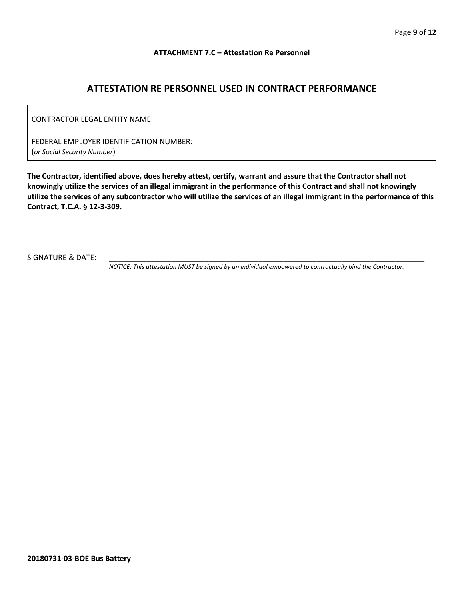#### **ATTACHMENT 7.C – Attestation Re Personnel**

## **ATTESTATION RE PERSONNEL USED IN CONTRACT PERFORMANCE**

| CONTRACTOR LEGAL ENTITY NAME:                                          |  |
|------------------------------------------------------------------------|--|
| FEDERAL EMPLOYER IDENTIFICATION NUMBER:<br>(or Social Security Number) |  |

**The Contractor, identified above, does hereby attest, certify, warrant and assure that the Contractor shall not knowingly utilize the services of an illegal immigrant in the performance of this Contract and shall not knowingly utilize the services of any subcontractor who will utilize the services of an illegal immigrant in the performance of this Contract, T.C.A. § 12-3-309.**

SIGNATURE & DATE:

*NOTICE: This attestation MUST be signed by an individual empowered to contractually bind the Contractor.*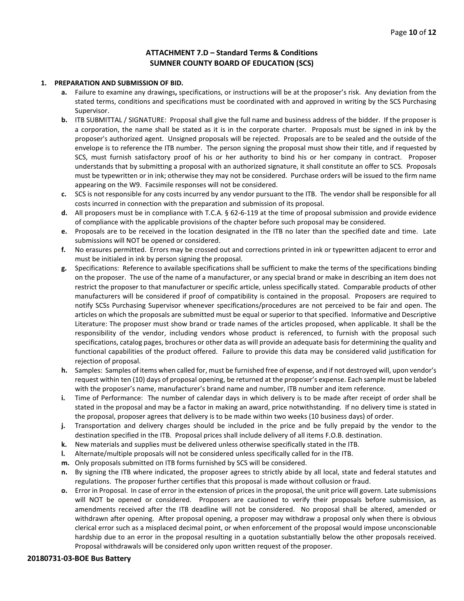#### **ATTACHMENT 7.D – Standard Terms & Conditions SUMNER COUNTY BOARD OF EDUCATION (SCS)**

#### **1. PREPARATION AND SUBMISSION OF BID.**

- **a.** Failure to examine any drawings**,** specifications, or instructions will be at the proposer's risk. Any deviation from the stated terms, conditions and specifications must be coordinated with and approved in writing by the SCS Purchasing Supervisor.
- **b.** ITB SUBMITTAL / SIGNATURE: Proposal shall give the full name and business address of the bidder. If the proposer is a corporation, the name shall be stated as it is in the corporate charter. Proposals must be signed in ink by the proposer's authorized agent. Unsigned proposals will be rejected. Proposals are to be sealed and the outside of the envelope is to reference the ITB number. The person signing the proposal must show their title, and if requested by SCS, must furnish satisfactory proof of his or her authority to bind his or her company in contract. Proposer understands that by submitting a proposal with an authorized signature, it shall constitute an offer to SCS. Proposals must be typewritten or in ink; otherwise they may not be considered. Purchase orders will be issued to the firm name appearing on the W9. Facsimile responses will not be considered.
- **c.** SCS is not responsible for any costs incurred by any vendor pursuant to the ITB. The vendor shall be responsible for all costs incurred in connection with the preparation and submission of its proposal.
- **d.** All proposers must be in compliance with T.C.A. § 62-6-119 at the time of proposal submission and provide evidence of compliance with the applicable provisions of the chapter before such proposal may be considered.
- **e.** Proposals are to be received in the location designated in the ITB no later than the specified date and time. Late submissions will NOT be opened or considered.
- **f.** No erasures permitted. Errors may be crossed out and corrections printed in ink or typewritten adjacent to error and must be initialed in ink by person signing the proposal.
- **g.** Specifications: Reference to available specifications shall be sufficient to make the terms of the specifications binding on the proposer. The use of the name of a manufacturer, or any special brand or make in describing an item does not restrict the proposer to that manufacturer or specific article, unless specifically stated. Comparable products of other manufacturers will be considered if proof of compatibility is contained in the proposal. Proposers are required to notify SCSs Purchasing Supervisor whenever specifications/procedures are not perceived to be fair and open. The articles on which the proposals are submitted must be equal or superior to that specified. Informative and Descriptive Literature: The proposer must show brand or trade names of the articles proposed, when applicable. It shall be the responsibility of the vendor, including vendors whose product is referenced, to furnish with the proposal such specifications, catalog pages, brochures or other data as will provide an adequate basis for determining the quality and functional capabilities of the product offered. Failure to provide this data may be considered valid justification for rejection of proposal.
- **h.** Samples: Samples of items when called for, must be furnished free of expense, and if not destroyed will, upon vendor's request within ten (10) days of proposal opening, be returned at the proposer's expense. Each sample must be labeled with the proposer's name, manufacturer's brand name and number, ITB number and item reference.
- **i.** Time of Performance: The number of calendar days in which delivery is to be made after receipt of order shall be stated in the proposal and may be a factor in making an award, price notwithstanding. If no delivery time is stated in the proposal, proposer agrees that delivery is to be made within two weeks (10 business days) of order.
- **j.** Transportation and delivery charges should be included in the price and be fully prepaid by the vendor to the destination specified in the ITB. Proposal prices shall include delivery of all items F.O.B. destination.
- **k.** New materials and supplies must be delivered unless otherwise specifically stated in the ITB.
- **l.** Alternate/multiple proposals will not be considered unless specifically called for in the ITB.
- **m.** Only proposals submitted on ITB forms furnished by SCS will be considered.
- **n.** By signing the ITB where indicated, the proposer agrees to strictly abide by all local, state and federal statutes and regulations. The proposer further certifies that this proposal is made without collusion or fraud.
- **o.** Error in Proposal. In case of error in the extension of prices in the proposal, the unit price will govern. Late submissions will NOT be opened or considered. Proposers are cautioned to verify their proposals before submission, as amendments received after the ITB deadline will not be considered. No proposal shall be altered, amended or withdrawn after opening. After proposal opening, a proposer may withdraw a proposal only when there is obvious clerical error such as a misplaced decimal point, or when enforcement of the proposal would impose unconscionable hardship due to an error in the proposal resulting in a quotation substantially below the other proposals received. Proposal withdrawals will be considered only upon written request of the proposer.

#### **20180731-03-BOE Bus Battery**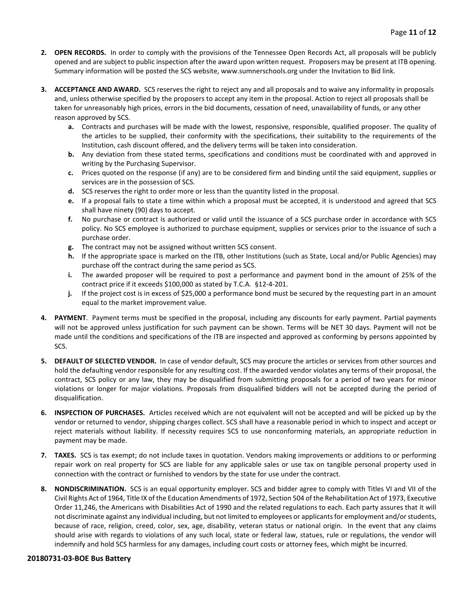- **2. OPEN RECORDS.** In order to comply with the provisions of the Tennessee Open Records Act, all proposals will be publicly opened and are subject to public inspection after the award upon written request. Proposers may be present at ITB opening. Summary information will be posted the SCS website, www.sumnerschools.org under the Invitation to Bid link.
- **3. ACCEPTANCE AND AWARD.** SCS reserves the right to reject any and all proposals and to waive any informality in proposals and, unless otherwise specified by the proposers to accept any item in the proposal. Action to reject all proposals shall be taken for unreasonably high prices, errors in the bid documents, cessation of need, unavailability of funds, or any other reason approved by SCS.
	- **a.** Contracts and purchases will be made with the lowest, responsive, responsible, qualified proposer. The quality of the articles to be supplied, their conformity with the specifications, their suitability to the requirements of the Institution, cash discount offered, and the delivery terms will be taken into consideration.
	- **b.** Any deviation from these stated terms, specifications and conditions must be coordinated with and approved in writing by the Purchasing Supervisor.
	- **c.** Prices quoted on the response (if any) are to be considered firm and binding until the said equipment, supplies or services are in the possession of SCS.
	- **d.** SCS reserves the right to order more or less than the quantity listed in the proposal.
	- **e.** If a proposal fails to state a time within which a proposal must be accepted, it is understood and agreed that SCS shall have ninety (90) days to accept.
	- **f.** No purchase or contract is authorized or valid until the issuance of a SCS purchase order in accordance with SCS policy. No SCS employee is authorized to purchase equipment, supplies or services prior to the issuance of such a purchase order.
	- **g.** The contract may not be assigned without written SCS consent.
	- **h.** If the appropriate space is marked on the ITB, other Institutions (such as State, Local and/or Public Agencies) may purchase off the contract during the same period as SCS.
	- **i.** The awarded proposer will be required to post a performance and payment bond in the amount of 25% of the contract price if it exceeds \$100,000 as stated by T.C.A. §12-4-201.
	- **j.** If the project cost is in excess of \$25,000 a performance bond must be secured by the requesting part in an amount equal to the market improvement value.
- **4. PAYMENT**. Payment terms must be specified in the proposal, including any discounts for early payment. Partial payments will not be approved unless justification for such payment can be shown. Terms will be NET 30 days. Payment will not be made until the conditions and specifications of the ITB are inspected and approved as conforming by persons appointed by SCS.
- **5. DEFAULT OF SELECTED VENDOR.** In case of vendor default, SCS may procure the articles or services from other sources and hold the defaulting vendor responsible for any resulting cost. If the awarded vendor violates any terms of their proposal, the contract, SCS policy or any law, they may be disqualified from submitting proposals for a period of two years for minor violations or longer for major violations. Proposals from disqualified bidders will not be accepted during the period of disqualification.
- **6. INSPECTION OF PURCHASES.** Articles received which are not equivalent will not be accepted and will be picked up by the vendor or returned to vendor, shipping charges collect. SCS shall have a reasonable period in which to inspect and accept or reject materials without liability. If necessity requires SCS to use nonconforming materials, an appropriate reduction in payment may be made.
- **7. TAXES.** SCS is tax exempt; do not include taxes in quotation. Vendors making improvements or additions to or performing repair work on real property for SCS are liable for any applicable sales or use tax on tangible personal property used in connection with the contract or furnished to vendors by the state for use under the contract.
- **8. NONDISCRIMINATION.** SCS is an equal opportunity employer. SCS and bidder agree to comply with Titles VI and VII of the Civil Rights Act of 1964, Title IX of the Education Amendments of 1972, Section 504 of the Rehabilitation Act of 1973, Executive Order 11,246, the Americans with Disabilities Act of 1990 and the related regulations to each. Each party assures that it will not discriminate against any individual including, but not limited to employees or applicants for employment and/or students, because of race, religion, creed, color, sex, age, disability, veteran status or national origin. In the event that any claims should arise with regards to violations of any such local, state or federal law, statues, rule or regulations, the vendor will indemnify and hold SCS harmless for any damages, including court costs or attorney fees, which might be incurred.

#### **20180731-03-BOE Bus Battery**